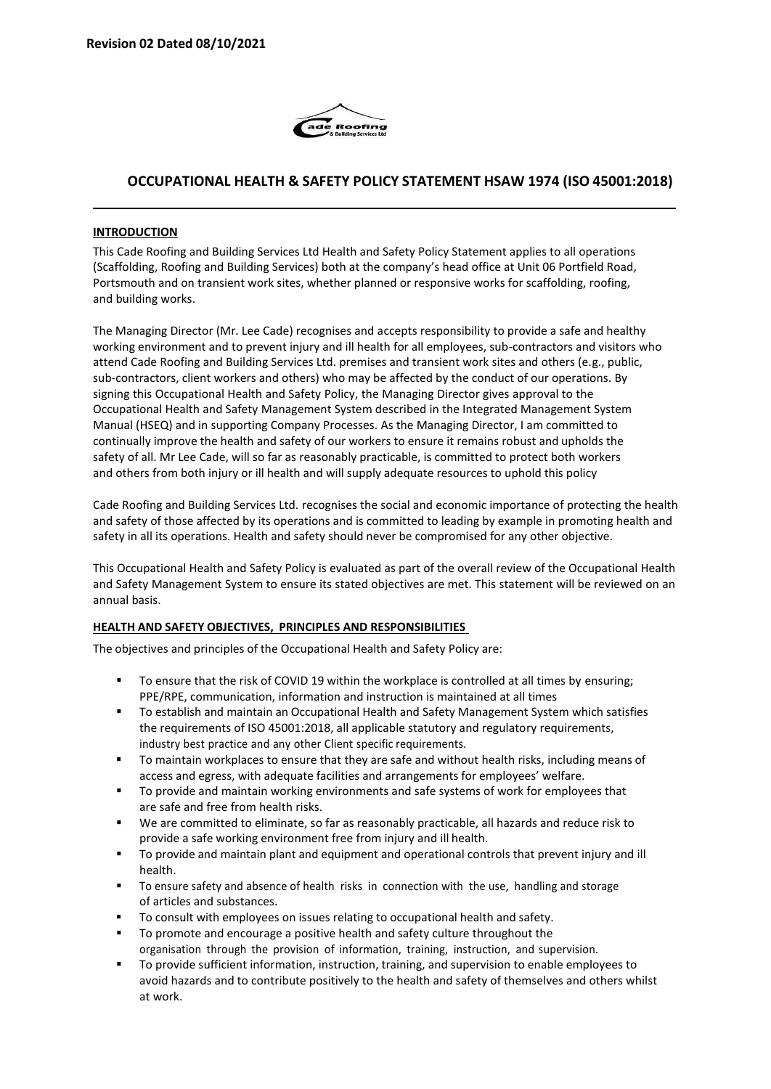

# **OCCUPATIONAL HEALTH & SAFETY POLICY STATEMENT HSAW 1974 (ISO 45001:2018)**

### **INTRODUCTION**

This Cade Roofing and Building Services Ltd Health and Safety Policy Statement applies to all operations (Scaffolding, Roofing and Building Services) both at the company's head office at Unit 06 Portfield Road, Portsmouth and on transient work sites, whether planned or responsive works for scaffolding, roofing, and building works.

The Managing Director (Mr. Lee Cade) recognises and accepts responsibility to provide a safe and healthy working environment and to prevent injury and ill health for all employees, sub-contractors and visitors who attend Cade Roofing and Building Services Ltd. premises and transient work sites and others (e.g., public, sub-contractors, client workers and others) who may be affected by the conduct of our operations. By signing this Occupational Health and Safety Policy, the Managing Director gives approval to the Occupational Health and Safety Management System described in the Integrated Management System Manual (HSEQ) and in supporting Company Processes. As the Managing Director, I am committed to continually improve the health and safety of our workers to ensure it remains robust and upholds the safety of all. Mr Lee Cade, will so far as reasonably practicable, is committed to protect both workers and others from both injury or ill health and will supply adequate resources to uphold this policy

Cade Roofing and Building Services Ltd. recognises the social and economic importance of protecting the health and safety of those affected by its operations and is committed to leading by example in promoting health and safety in all its operations. Health and safety should never be compromised for any other objective.

This Occupational Health and Safety Policy is evaluated as part of the overall review of the Occupational Health and Safety Management System to ensure its stated objectives are met. This statement will be reviewed on an annual basis.

### **HEALTH AND SAFETY OBJECTIVES, PRINCIPLES AND RESPONSIBILITIES**

The objectives and principles of the Occupational Health and Safety Policy are:

- To ensure that the risk of COVID 19 within the workplace is controlled at all times by ensuring; PPE/RPE, communication, information and instruction is maintained at all times
- To establish and maintain an Occupational Health and Safety Management System which satisfies the requirements of ISO 45001:2018, all applicable statutory and regulatory requirements, industry best practice and any other Client specific requirements.
- To maintain workplaces to ensure that they are safe and without health risks, including means of access and egress, with adequate facilities and arrangements for employees' welfare.
- To provide and maintain working environments and safe systems of work for employees that are safe and free from health risks.
- We are committed to eliminate, so far as reasonably practicable, all hazards and reduce risk to provide a safe working environment free from injury and ill health.
- To provide and maintain plant and equipment and operational controls that prevent injury and ill health.
- To ensure safety and absence of health risks in connection with the use, handling and storage of articles and substances.
- To consult with employees on issues relating to occupational health and safety.
- To promote and encourage a positive health and safety culture throughout the organisation through the provision of information, training, instruction, and supervision.
- To provide sufficient information, instruction, training, and supervision to enable employees to avoid hazards and to contribute positively to the health and safety of themselves and others whilst at work.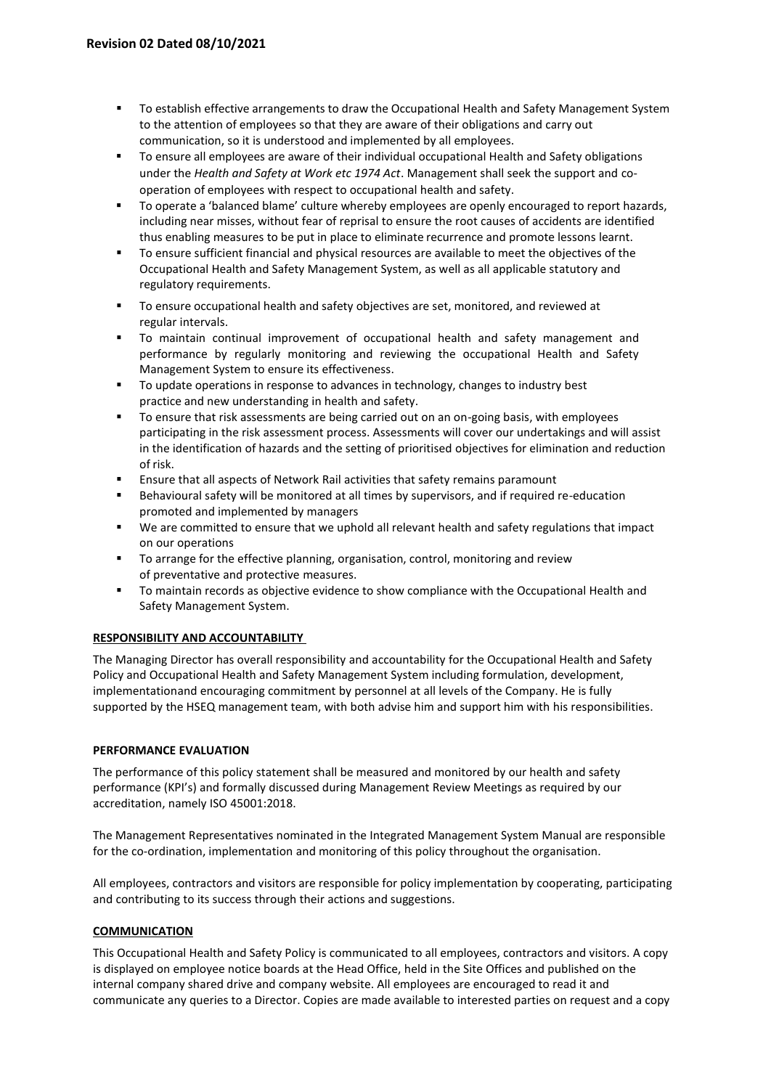- To establish effective arrangements to draw the Occupational Health and Safety Management System to the attention of employees so that they are aware of their obligations and carry out communication, so it is understood and implemented by all employees.
- To ensure all employees are aware of their individual occupational Health and Safety obligations under the *Health and Safety at Work etc 1974 Act*. Management shall seek the support and cooperation of employees with respect to occupational health and safety.
- To operate a 'balanced blame' culture whereby employees are openly encouraged to report hazards, including near misses, without fear of reprisal to ensure the root causes of accidents are identified thus enabling measures to be put in place to eliminate recurrence and promote lessons learnt.
- To ensure sufficient financial and physical resources are available to meet the objectives of the Occupational Health and Safety Management System, as well as all applicable statutory and regulatory requirements.
- To ensure occupational health and safety objectives are set, monitored, and reviewed at regular intervals.
- To maintain continual improvement of occupational health and safety management and performance by regularly monitoring and reviewing the occupational Health and Safety Management System to ensure its effectiveness.
- To update operations in response to advances in technology, changes to industry best practice and new understanding in health and safety.
- To ensure that risk assessments are being carried out on an on-going basis, with employees participating in the risk assessment process. Assessments will cover our undertakings and will assist in the identification of hazards and the setting of prioritised objectives for elimination and reduction of risk.
- Ensure that all aspects of Network Rail activities that safety remains paramount
- Behavioural safety will be monitored at all times by supervisors, and if required re-education promoted and implemented by managers
- We are committed to ensure that we uphold all relevant health and safety regulations that impact on our operations
- To arrange for the effective planning, organisation, control, monitoring and review of preventative and protective measures.
- To maintain records as objective evidence to show compliance with the Occupational Health and Safety Management System.

## **RESPONSIBILITY AND ACCOUNTABILITY**

The Managing Director has overall responsibility and accountability for the Occupational Health and Safety Policy and Occupational Health and Safety Management System including formulation, development, implementationand encouraging commitment by personnel at all levels of the Company. He is fully supported by the HSEQ management team, with both advise him and support him with his responsibilities.

### **PERFORMANCE EVALUATION**

The performance of this policy statement shall be measured and monitored by our health and safety performance (KPI's) and formally discussed during Management Review Meetings as required by our accreditation, namely ISO 45001:2018.

The Management Representatives nominated in the Integrated Management System Manual are responsible for the co-ordination, implementation and monitoring of this policy throughout the organisation.

All employees, contractors and visitors are responsible for policy implementation by cooperating, participating and contributing to its success through their actions and suggestions.

### **COMMUNICATION**

This Occupational Health and Safety Policy is communicated to all employees, contractors and visitors. A copy is displayed on employee notice boards at the Head Office, held in the Site Offices and published on the internal company shared drive and company website. All employees are encouraged to read it and communicate any queries to a Director. Copies are made available to interested parties on request and a copy